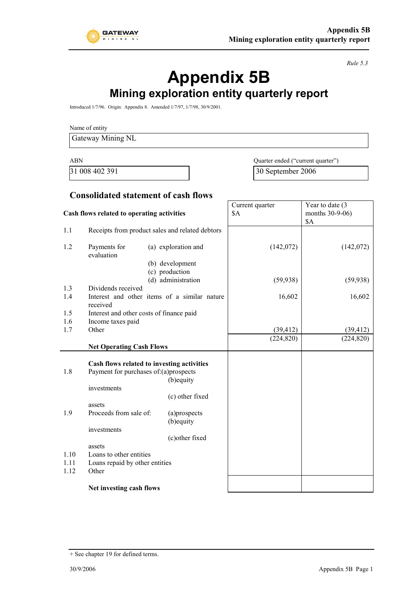

*Rule 5.3*

# **Appendix 5B**

## **Mining exploration entity quarterly report**

Introduced 1/7/96. Origin: Appendix 8. Amended 1/7/97, 1/7/98, 30/9/2001.

Name of entity

Gateway Mining NL

ABN Quarter ended ("current quarter") 31 008 402 391 30 September 2006

Year to date (3)

Current quarter

#### **Consolidated statement of cash flows**

| Cash flows related to operating activities |                                                                              | \$A                                                      | months 30-9-06)<br>\$A |            |
|--------------------------------------------|------------------------------------------------------------------------------|----------------------------------------------------------|------------------------|------------|
| 1.1                                        |                                                                              | Receipts from product sales and related debtors          |                        |            |
| 1.2                                        | Payments for<br>evaluation                                                   | (a) exploration and<br>(b) development<br>(c) production | (142,072)              | (142,072)  |
|                                            |                                                                              | (d) administration                                       | (59, 938)              | (59, 938)  |
| 1.3                                        | Dividends received                                                           |                                                          |                        |            |
| 1.4                                        | received                                                                     | Interest and other items of a similar nature             | 16,602                 | 16,602     |
| 1.5                                        | Interest and other costs of finance paid                                     |                                                          |                        |            |
| 1.6                                        | Income taxes paid                                                            |                                                          |                        |            |
| 1.7                                        | Other                                                                        |                                                          | (39, 412)              | (39, 412)  |
|                                            |                                                                              |                                                          | (224, 820)             | (224, 820) |
|                                            | <b>Net Operating Cash Flows</b>                                              |                                                          |                        |            |
| 1.8                                        | Payment for purchases of:(a)prospects<br>investments                         | Cash flows related to investing activities<br>(b) equity |                        |            |
|                                            |                                                                              | (c) other fixed                                          |                        |            |
|                                            | assets                                                                       |                                                          |                        |            |
| 1.9                                        | Proceeds from sale of:                                                       | (a)prospects<br>(b)equity                                |                        |            |
|                                            | investments                                                                  |                                                          |                        |            |
|                                            |                                                                              | (c) other fixed                                          |                        |            |
| 1.10<br>1.11<br>1.12                       | assets<br>Loans to other entities<br>Loans repaid by other entities<br>Other |                                                          |                        |            |
|                                            | Net investing cash flows                                                     |                                                          |                        |            |

<sup>+</sup> See chapter 19 for defined terms.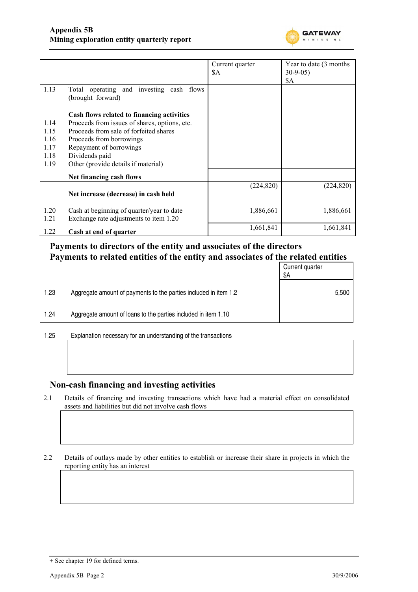

|              |                                                                                     | Current quarter | Year to date (3 months) |
|--------------|-------------------------------------------------------------------------------------|-----------------|-------------------------|
|              |                                                                                     | \$A             | $30-9-05$               |
|              |                                                                                     |                 | <b>\$A</b>              |
| 1.13         | Total operating and investing cash flows<br>(brought forward)                       |                 |                         |
|              | Cash flows related to financing activities                                          |                 |                         |
| 1.14         | Proceeds from issues of shares, options, etc.                                       |                 |                         |
| 1.15         | Proceeds from sale of forfeited shares                                              |                 |                         |
| 1.16         | Proceeds from borrowings                                                            |                 |                         |
| 1.17         | Repayment of borrowings                                                             |                 |                         |
| 1.18         | Dividends paid                                                                      |                 |                         |
| 1.19         | Other (provide details if material)                                                 |                 |                         |
|              | Net financing cash flows                                                            |                 |                         |
|              | Net increase (decrease) in cash held                                                | (224, 820)      | (224, 820)              |
| 1.20<br>1.21 | Cash at beginning of quarter/year to date<br>Exchange rate adjustments to item 1.20 | 1,886,661       | 1,886,661               |
| 1.22         | Cash at end of quarter                                                              | 1,661,841       | 1,661,841               |

## **Payments to directors of the entity and associates of the directors Payments to related entities of the entity and associates of the related entities**

|      |                                                                  | Current quarter<br>\$A |
|------|------------------------------------------------------------------|------------------------|
| 1.23 | Aggregate amount of payments to the parties included in item 1.2 | 5,500                  |
| 1.24 | Aggregate amount of loans to the parties included in item 1.10   |                        |
|      |                                                                  |                        |

1.25 Explanation necessary for an understanding of the transactions

#### **Non-cash financing and investing activities**

- 2.1 Details of financing and investing transactions which have had a material effect on consolidated assets and liabilities but did not involve cash flows
- 2.2 Details of outlays made by other entities to establish or increase their share in projects in which the reporting entity has an interest

<sup>+</sup> See chapter 19 for defined terms.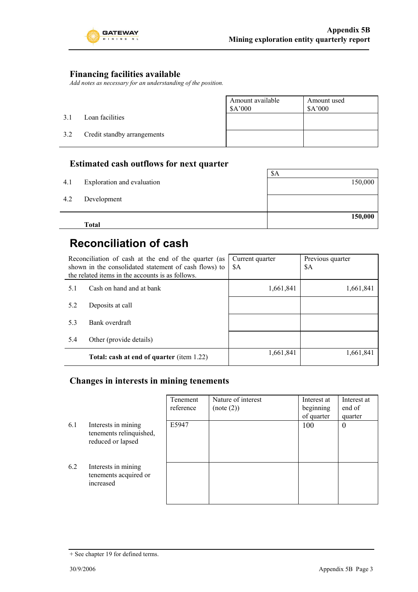

### **Financing facilities available**

*Add notes as necessary for an understanding of the position.*

|     |                             | Amount available<br>\$A'000 | Amount used<br>A'000 |
|-----|-----------------------------|-----------------------------|----------------------|
| 3.1 | Loan facilities             |                             |                      |
| 3.2 | Credit standby arrangements |                             |                      |

### **Estimated cash outflows for next quarter**

|     | <b>Total</b>               | 150,000 |
|-----|----------------------------|---------|
| 4.2 | Development                |         |
| 4.1 | Exploration and evaluation | 150,000 |
|     |                            | \$A     |

## **Reconciliation of cash**

|     | Reconciliation of cash at the end of the quarter (as<br>shown in the consolidated statement of cash flows) to<br>the related items in the accounts is as follows. | Current quarter<br>\$A | Previous quarter<br>\$A |
|-----|-------------------------------------------------------------------------------------------------------------------------------------------------------------------|------------------------|-------------------------|
| 5.1 | Cash on hand and at bank                                                                                                                                          | 1,661,841              | 1,661,841               |
| 5.2 | Deposits at call                                                                                                                                                  |                        |                         |
| 5.3 | Bank overdraft                                                                                                                                                    |                        |                         |
| 5.4 | Other (provide details)                                                                                                                                           |                        |                         |
|     | Total: cash at end of quarter (item 1.22)                                                                                                                         | 1,661,841              | 1,661,841               |

### **Changes in interests in mining tenements**

|     |                                                                     | Tenement<br>reference | Nature of interest<br>(note (2)) | Interest at<br>beginning<br>of quarter | Interest at<br>end of<br>quarter |
|-----|---------------------------------------------------------------------|-----------------------|----------------------------------|----------------------------------------|----------------------------------|
| 6.1 | Interests in mining<br>tenements relinquished,<br>reduced or lapsed | E5947                 |                                  | 100                                    | $\boldsymbol{0}$                 |
| 6.2 | Interests in mining<br>tenements acquired or<br>increased           |                       |                                  |                                        |                                  |

<sup>+</sup> See chapter 19 for defined terms.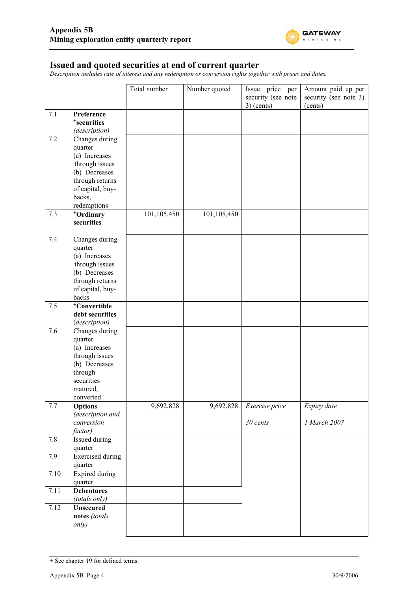

#### **Issued and quoted securities at end of current quarter**

*Description includes rate of interest and any redemption or conversion rights together with prices and dates.*

|      |                                                                                                                                                  | Total number | Number quoted | Issue price per<br>security (see note<br>$3)$ (cents) | Amount paid up per<br>security (see note 3)<br>(cents) |
|------|--------------------------------------------------------------------------------------------------------------------------------------------------|--------------|---------------|-------------------------------------------------------|--------------------------------------------------------|
| 7.1  | Preference<br><sup>+</sup> securities<br>(description)                                                                                           |              |               |                                                       |                                                        |
| 7.2  | Changes during<br>quarter<br>(a) Increases<br>through issues<br>(b) Decreases<br>through returns<br>of capital, buy-<br>backs,<br>redemptions    |              |               |                                                       |                                                        |
| 7.3  | +Ordinary<br>securities                                                                                                                          | 101,105,450  | 101,105,450   |                                                       |                                                        |
| 7.4  | Changes during<br>quarter<br>(a) Increases<br>through issues<br>(b) Decreases<br>through returns<br>of capital, buy-<br>backs                    |              |               |                                                       |                                                        |
| 7.5  | +Convertible<br>debt securities                                                                                                                  |              |               |                                                       |                                                        |
| 7.6  | (description)<br>Changes during<br>quarter<br>(a) Increases<br>through issues<br>(b) Decreases<br>through<br>securities<br>matured,<br>converted |              |               |                                                       |                                                        |
| 7.7  | <b>Options</b><br>(description and                                                                                                               | 9,692,828    | 9,692,828     | Exercise price                                        | Expiry date                                            |
|      | conversion<br>factor)                                                                                                                            |              |               | 30 cents                                              | 1 March 2007                                           |
| 7.8  | Issued during<br>quarter                                                                                                                         |              |               |                                                       |                                                        |
| 7.9  | <b>Exercised</b> during<br>quarter                                                                                                               |              |               |                                                       |                                                        |
| 7.10 | <b>Expired during</b><br>quarter                                                                                                                 |              |               |                                                       |                                                        |
| 7.11 | <b>Debentures</b><br>(totals only)                                                                                                               |              |               |                                                       |                                                        |
| 7.12 | <b>Unsecured</b><br>notes (totals<br>only)                                                                                                       |              |               |                                                       |                                                        |

<sup>+</sup> See chapter 19 for defined terms.